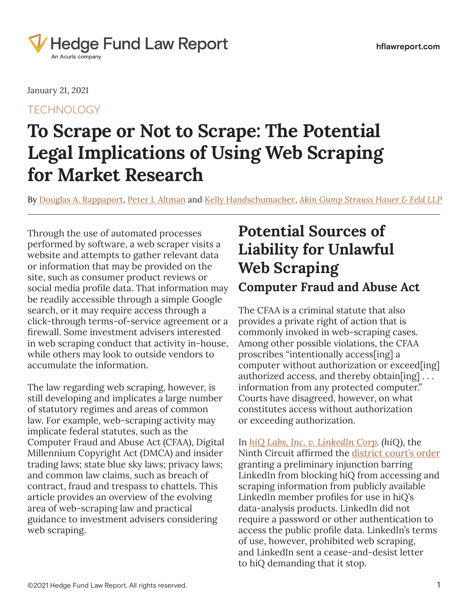

January 21, 2021

**TECHNOLOGY** 

# **To Scrape or Not to Scrape: The Potential Legal Implications of Using Web Scraping for Market Research**

By Douglas A. [Rappaport](https://www.hflawreport.com/search/?tagType=People&tagName=Douglas+Rappaport&tagID=16131), [Peter I. Altman](https://www.hflawreport.com/search/?tagType=People&tagName=Peter+I.+Altman&tagID=124411) and [Kelly Handschumacher](https://www.hflawreport.com/search/?tagType=People&tagName=Kelly+Handschumacher&tagID=127811), *[Akin Gump Strauss Hauer & Feld LLP](https://www.hflawreport.com/search/?tagType=Entities&tagName=Akin+Gump+Strauss+Hauer+%26+Feld+LLP&tagID=11776)*

Through the use of automated processes performed by software, a web scraper visits a website and attempts to gather relevant data or information that may be provided on the site, such as consumer product reviews or social media profile data. That information may be readily accessible through a simple Google search, or it may require access through a click-through terms-of-service agreement or a firewall. Some investment advisers interested in web scraping conduct that activity in-house, while others may look to outside vendors to accumulate the information.

The law regarding web scraping, however, is still developing and implicates a large number of statutory regimes and areas of common law. For example, web-scraping activity may implicate federal statutes, such as the Computer Fraud and Abuse Act (CFAA), Digital Millennium Copyright Act (DMCA) and insider trading laws; state blue sky laws; privacy laws; and common law claims, such as breach of contract, fraud and trespass to chattels. This article provides an overview of the evolving area of web-scraping law and practical guidance to investment advisers considering web scraping.

### **Potential Sources of Liability for Unlawful Web Scraping Computer Fraud and Abuse Act**

The CFAA is a criminal statute that also provides a private right of action that is commonly invoked in web-scraping cases. Among other possible violations, the CFAA proscribes "intentionally access[ing] a computer without authorization or exceed[ing] authorized access, and thereby obtain[ing] . . . information from any protected computer." Courts have disagreed, however, on what constitutes access without authorization or exceeding authorization.

In *[hiQ Labs, Inc. v. LinkedIn Corp](https://cdn.wide-area.com/acuris/files/hedge-fund-law-report/Industry%20materials%20III/HIQ%20Labs%20v_%20LinkedIn.pdf). (hiQ)*, the Ninth Circuit affirmed the [district court's order](https://www.hflawreport.com/files/2018/01/17/hiq-labs.pdf)  granting a preliminary injunction barring LinkedIn from blocking hiQ from accessing and scraping information from publicly available LinkedIn member profiles for use in hiQ's data-analysis products. LinkedIn did not require a password or other authentication to access the public profile data. LinkedIn's terms of use, however, prohibited web scraping, and LinkedIn sent a cease-and-desist letter to hiQ demanding that it stop.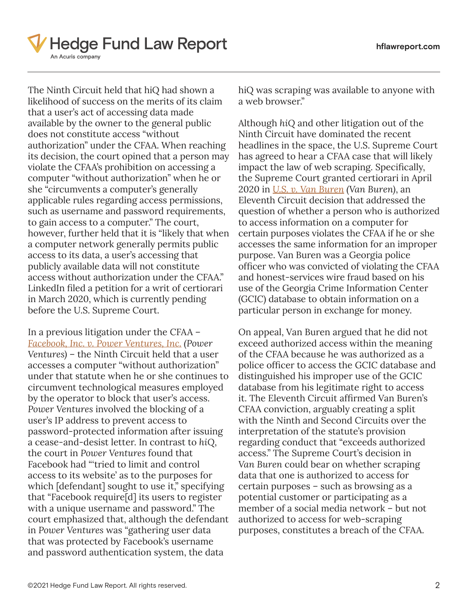

The Ninth Circuit held that hiQ had shown a likelihood of success on the merits of its claim that a user's act of accessing data made available by the owner to the general public does not constitute access "without authorization" under the CFAA. When reaching its decision, the court opined that a person may violate the CFAA's prohibition on accessing a computer "without authorization" when he or she "circumvents a computer's generally applicable rules regarding access permissions, such as username and password requirements, to gain access to a computer." The court, however, further held that it is "likely that when a computer network generally permits public access to its data, a user's accessing that publicly available data will not constitute access without authorization under the CFAA." LinkedIn filed a petition for a writ of certiorari in March 2020, which is currently pending before the U.S. Supreme Court.

In a previous litigation under the CFAA – *[Facebook, Inc. v. Power Ventures, Inc.](https://www.hflawreport.com/files/2017/06/13/proskauer_facebook-v.-power-ventures.pdf) (Power Ventures)* – the Ninth Circuit held that a user accesses a computer "without authorization" under that statute when he or she continues to circumvent technological measures employed by the operator to block that user's access. *Power Ventures* involved the blocking of a user's IP address to prevent access to password-protected information after issuing a cease-and-desist letter. In contrast to *hiQ*, the court in *Power Ventures* found that Facebook had "'tried to limit and control access to its website' as to the purposes for which [defendant] sought to use it," specifying that "Facebook require[d] its users to register with a unique username and password." The court emphasized that, although the defendant in *Power Ventures* was "gathering user data that was protected by Facebook's username and password authentication system, the data

hiQ was scraping was available to anyone with a web browser."

Although *hiQ* and other litigation out of the Ninth Circuit have dominated the recent headlines in the space, the U.S. Supreme Court has agreed to hear a CFAA case that will likely impact the law of web scraping. Specifically, the Supreme Court granted certiorari in April 2020 in *[U.S. v. Van Buren](https://cdn.wide-area.com/acuris/files/hedge-fund-law-report/Industry%20materials%20III/United%20States%20v_%20Van%20Buren.pdf) (Van Buren)*, an Eleventh Circuit decision that addressed the question of whether a person who is authorized to access information on a computer for certain purposes violates the CFAA if he or she accesses the same information for an improper purpose. Van Buren was a Georgia police officer who was convicted of violating the CFAA and honest-services wire fraud based on his use of the Georgia Crime Information Center (GCIC) database to obtain information on a particular person in exchange for money.

On appeal, Van Buren argued that he did not exceed authorized access within the meaning of the CFAA because he was authorized as a police officer to access the GCIC database and distinguished his improper use of the GCIC database from his legitimate right to access it. The Eleventh Circuit affirmed Van Buren's CFAA conviction, arguably creating a split with the Ninth and Second Circuits over the interpretation of the statute's provision regarding conduct that "exceeds authorized access." The Supreme Court's decision in *Van Buren* could bear on whether scraping data that one is authorized to access for certain purposes – such as browsing as a potential customer or participating as a member of a social media network – but not authorized to access for web-scraping purposes, constitutes a breach of the CFAA.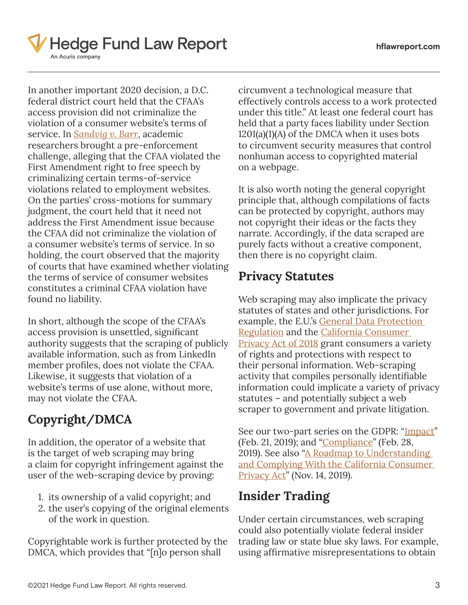

In another important 2020 decision, a D.C. federal district court held that the CFAA's access provision did not criminalize the violation of a consumer website's terms of service. In *[Sandvig v. Barr](https://cdn.wide-area.com/acuris/files/hedge-fund-law-report/Industry%20materials%20III/Sandvig%20v_%20Barr.pdf)*, academic researchers brought a pre-enforcement challenge, alleging that the CFAA violated the First Amendment right to free speech by criminalizing certain terms-of-service violations related to employment websites. On the parties' cross-motions for summary judgment, the court held that it need not address the First Amendment issue because the CFAA did not criminalize the violation of a consumer website's terms of service. In so holding, the court observed that the majority of courts that have examined whether violating the terms of service of consumer websites constitutes a criminal CFAA violation have found no liability.

In short, although the scope of the CFAA's access provision is unsettled, significant authority suggests that the scraping of publicly available information, such as from LinkedIn member profiles, does not violate the CFAA. Likewise, it suggests that violation of a website's terms of use alone, without more, may not violate the CFAA.

### **Copyright/DMCA**

In addition, the operator of a website that is the target of web scraping may bring a claim for copyright infringement against the user of the web-scraping device by proving:

- 1. its ownership of a valid copyright; and
- 2. the user's copying of the original elements of the work in question.

Copyrightable work is further protected by the DMCA, which provides that "[n]o person shall

circumvent a technological measure that effectively controls access to a work protected under this title." At least one federal court has held that a party faces liability under Section 1201(a)(1)(A) of the DMCA when it uses bots to circumvent security measures that control nonhuman access to copyrighted material on a webpage.

It is also worth noting the general copyright principle that, although compilations of facts can be protected by copyright, authors may not copyright their ideas or the facts they narrate. Accordingly, if the data scraped are purely facts without a creative component, then there is no copyright claim.

#### **Privacy Statutes**

Web scraping may also implicate the privacy statutes of states and other jurisdictions. For example, the E.U.'s [General Data Protection](https://www.hflawreport.com/files/2016/01/13/gdpr.pdf)  [Regulation](https://www.hflawreport.com/files/2016/01/13/gdpr.pdf) and the [California Consumer](https://cdn.wide-area.com/acuris/files/hedge-fund-law-report/industrymaterialsii/20170AB375_91.pdf)  **[Privacy Act of 2018](https://cdn.wide-area.com/acuris/files/hedge-fund-law-report/industrymaterialsii/20170AB375_91.pdf) grant consumers a variety** of rights and protections with respect to their personal information. Web-scraping activity that compiles personally identifiable information could implicate a variety of privacy statutes – and potentially subject a web scraper to government and private litigation.

See our two-part series on the GDPR: "[Impact"](https://www.hflawreport.com/2668891/dechert-attorneys-consider-impact-of-the-gdpr-part-one-of-two.thtml) (Feb. 21, 2019); and "*Compliance*" (Feb. 28, 2019). See also "A Roadmap to Understanding [and Complying With the California Consumer](https://www.hflawreport.com/4150436/a-roadmap-to-understanding-and-complying-with-the-california-consumer-privacy-act.thtml)  [Privacy Act](https://www.hflawreport.com/4150436/a-roadmap-to-understanding-and-complying-with-the-california-consumer-privacy-act.thtml)" (Nov. 14, 2019).

#### **Insider Trading**

Under certain circumstances, web scraping could also potentially violate federal insider trading law or state blue sky laws. For example, using affirmative misrepresentations to obtain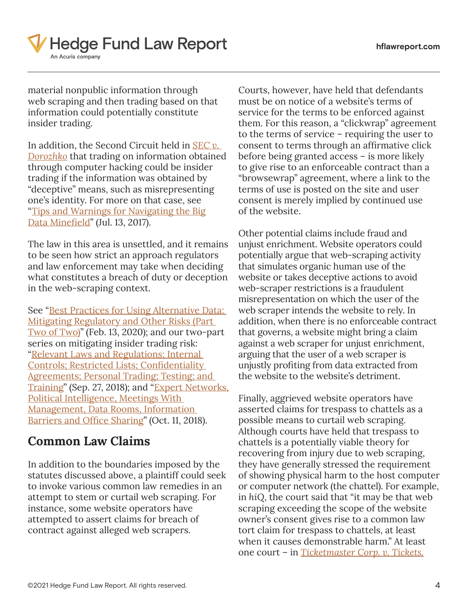

material nonpublic information through web scraping and then trading based on that information could potentially constitute insider trading.

In addition, the Second Circuit held in *[SEC v.](https://www.hflawreport.com/files/2017/06/13/proskauer_sec-vs.-dorozhko.pdf)  [Dorozhko](https://www.hflawreport.com/files/2017/06/13/proskauer_sec-vs.-dorozhko.pdf)* that trading on information obtained through computer hacking could be insider trading if the information was obtained by "deceptive" means, such as misrepresenting one's identity. For more on that case, see "[Tips and Warnings for Navigating the Big](https://www.hflawreport.com/2553136/tips-and-warnings-for-navigating-the-big-data-minefield.thtml) [Data Minefield](https://www.hflawreport.com/2553136/tips-and-warnings-for-navigating-the-big-data-minefield.thtml)" (Jul. 13, 2017).

The law in this area is unsettled, and it remains to be seen how strict an approach regulators and law enforcement may take when deciding what constitutes a breach of duty or deception in the web-scraping context.

See "Best Practices for Using Alternative Data: [Mitigating Regulatory and Other Risks \(Part](https://www.hflawreport.com/6102651/best-practices-for-using-alternative-data-mitigating-regulatory-and-other-risks-part-two-of-two.thtml)  [Two of Two\)](https://www.hflawreport.com/6102651/best-practices-for-using-alternative-data-mitigating-regulatory-and-other-risks-part-two-of-two.thtml)" (Feb. 13, 2020); and our two-part series on mitigating insider trading risk: ["Relevant Laws and Regulations; Internal](https://www.hflawreport.com/2616036/mitigating-insider-trading-risks-relevant-laws-and-regulations-internal-controls-restricted-lists-confidentiality-agreements-personal-trading-testing-and-training-partone-of-two.thtml?)  [Controls; Restricted Lists; Confidentiality](https://www.hflawreport.com/2616036/mitigating-insider-trading-risks-relevant-laws-and-regulations-internal-controls-restricted-lists-confidentiality-agreements-personal-trading-testing-and-training-partone-of-two.thtml?)  [Agreements; Personal Trading; Testing; and](https://www.hflawreport.com/2616036/mitigating-insider-trading-risks-relevant-laws-and-regulations-internal-controls-restricted-lists-confidentiality-agreements-personal-trading-testing-and-training-partone-of-two.thtml?)  [Training](https://www.hflawreport.com/2616036/mitigating-insider-trading-risks-relevant-laws-and-regulations-internal-controls-restricted-lists-confidentiality-agreements-personal-trading-testing-and-training-partone-of-two.thtml?)" (Sep. 27, 2018); and "Expert Networks, [Political Intelligence, Meetings With](https://www.hflawreport.com/2615961/mitigating-insider-trading-risks-expert-networks-political-intelligence-meetings-with-management-data-rooms-information-barriers-and-office-sharing-parttwo-of-two.thtml?)  [Management, Data Rooms, Information](https://www.hflawreport.com/2615961/mitigating-insider-trading-risks-expert-networks-political-intelligence-meetings-with-management-data-rooms-information-barriers-and-office-sharing-parttwo-of-two.thtml?)  [Barriers and Office Sharing](https://www.hflawreport.com/2615961/mitigating-insider-trading-risks-expert-networks-political-intelligence-meetings-with-management-data-rooms-information-barriers-and-office-sharing-parttwo-of-two.thtml?)" (Oct. 11, 2018).

#### **Common Law Claims**

In addition to the boundaries imposed by the statutes discussed above, a plaintiff could seek to invoke various common law remedies in an attempt to stem or curtail web scraping. For instance, some website operators have attempted to assert claims for breach of contract against alleged web scrapers.

Courts, however, have held that defendants must be on notice of a website's terms of service for the terms to be enforced against them. For this reason, a "clickwrap" agreement to the terms of service – requiring the user to consent to terms through an affirmative click before being granted access – is more likely to give rise to an enforceable contract than a "browsewrap" agreement, where a link to the terms of use is posted on the site and user consent is merely implied by continued use of the website.

Other potential claims include fraud and unjust enrichment. Website operators could potentially argue that web-scraping activity that simulates organic human use of the website or takes deceptive actions to avoid web-scraper restrictions is a fraudulent misrepresentation on which the user of the web scraper intends the website to rely. In addition, when there is no enforceable contract that governs, a website might bring a claim against a web scraper for unjust enrichment, arguing that the user of a web scraper is unjustly profiting from data extracted from the website to the website's detriment.

Finally, aggrieved website operators have asserted claims for trespass to chattels as a possible means to curtail web scraping. Although courts have held that trespass to chattels is a potentially viable theory for recovering from injury due to web scraping, they have generally stressed the requirement of showing physical harm to the host computer or computer network (the chattel). For example, in *hiQ*, the court said that "it may be that web scraping exceeding the scope of the website owner's consent gives rise to a common law tort claim for trespass to chattels, at least when it causes demonstrable harm." At least one court – in *[Ticketmaster Corp. v. Tickets.](https://www.hflawreport.com/files/2018/01/10/ticketmaster-corp.-v.-tickets.com,-inc..pdf)*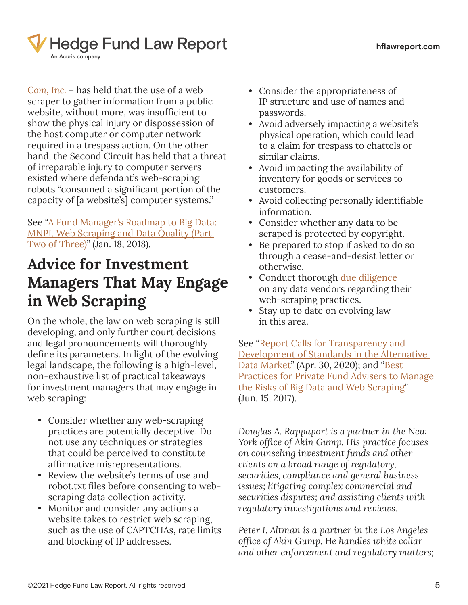

*[Com, Inc.](https://www.hflawreport.com/files/2018/01/10/ticketmaster-corp.-v.-tickets.com,-inc..pdf)* – has held that the use of a web scraper to gather information from a public website, without more, was insufficient to show the physical injury or dispossession of the host computer or computer network required in a trespass action. On the other hand, the Second Circuit has held that a threat of irreparable injury to computer servers existed where defendant's web-scraping robots "consumed a significant portion of the capacity of [a website's] computer systems."

See "A Fund Manager's Roadmap to Big Data: [MNPI, Web Scraping and Data Quality \(Part](https://www.hflawreport.com/2554036/a-fund-manager-s-roadmap-to-big-data-mnpi-web-scraping-and-data-quality-part-two-of-three.thtml)  [Two of Three\)"](https://www.hflawreport.com/2554036/a-fund-manager-s-roadmap-to-big-data-mnpi-web-scraping-and-data-quality-part-two-of-three.thtml) (Jan. 18, 2018).

## **Advice for Investment Managers That May Engage in Web Scraping**

On the whole, the law on web scraping is still developing, and only further court decisions and legal pronouncements will thoroughly define its parameters. In light of the evolving legal landscape, the following is a high-level, non-exhaustive list of practical takeaways for investment managers that may engage in web scraping:

- Consider whether any web-scraping practices are potentially deceptive. Do not use any techniques or strategies that could be perceived to constitute affirmative misrepresentations.
- Review the website's terms of use and robot.txt files before consenting to webscraping data collection activity.
- Monitor and consider any actions a website takes to restrict web scraping, such as the use of CAPTCHAs, rate limits and blocking of IP addresses.
- Consider the appropriateness of IP structure and use of names and passwords.
- Avoid adversely impacting a website's physical operation, which could lead to a claim for trespass to chattels or similar claims.
- Avoid impacting the availability of inventory for goods or services to customers.
- Avoid collecting personally identifiable information.
- Consider whether any data to be scraped is protected by copyright.
- Be prepared to stop if asked to do so through a cease-and-desist letter or otherwise.
- Conduct thorough [due diligence](https://www.hflawreport.com/2545341/best-practices-for-due-diligence-by-hedge-fund-managers-on-research-providers.thtml?) on any data vendors regarding their web-scraping practices.
- Stay up to date on evolving law in this area.

See "Report Calls for Transparency and [Development of Standards in the Alternative](https://www.hflawreport.com/6708276/report-calls-for-transparency-and-development-of-standards-in-the-alternative-data-market.thtml)  [Data Market"](https://www.hflawreport.com/6708276/report-calls-for-transparency-and-development-of-standards-in-the-alternative-data-market.thtml) (Apr. 30, 2020); and "Best [Practices for Private Fund Advisers to Manage](https://www.hflawreport.com/2552996/best-practices-for-private-fund-advisers-to-manage-the-risks-of-big-data-and-web-scraping.thtml)  [the Risks of Big Data and Web Scraping](https://www.hflawreport.com/2552996/best-practices-for-private-fund-advisers-to-manage-the-risks-of-big-data-and-web-scraping.thtml)" (Jun. 15, 2017).

*Douglas A. Rappaport is a partner in the New York office of Akin Gump. His practice focuses on counseling investment funds and other clients on a broad range of regulatory, securities, compliance and general business issues; litigating complex commercial and securities disputes; and assisting clients with regulatory investigations and reviews.*

*Peter I. Altman is a partner in the Los Angeles office of Akin Gump. He handles white collar and other enforcement and regulatory matters;*